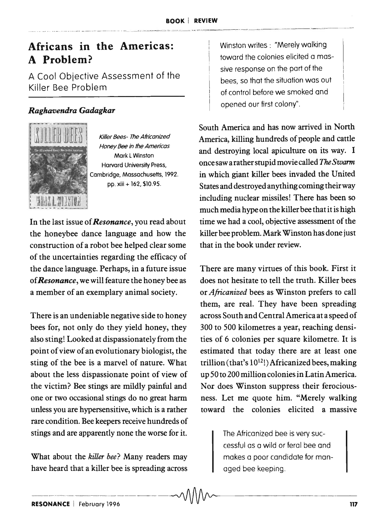## Africans in the Americas: A Problem?

A Cool Objective Assessment of the Killer Bee Problem

## *Ragha'lJendra Gadagkar*



Killer Bees- The Africanized Honey *Bee* in the Americas Mark l Winston Harvard University Press, Cambridge, Massachusetts, 1992. pp. xiii + 162, \$10.95.

In the last issue of *Resonance,* you read about the honeybee dance language and how the construction of a robot bee helped clear some of the uncertainties regarding the efficacy of the dance language. Perhaps, in a future issue of *Resonance,* we will feature the honey bee as a member of an exemplary animal society.

There is an undeniable negative side to honey bees for, not only do they yield honey, they also sting! Looked at dispassionately from the point of view of an evolutionary biologist, the sting of the bee is a marvel of nature. What about the less dispassionate point of view of the victim? Bee stings are mildly painful and one or two occasional stings do no great harm unless you are hypersensitive, which is a rather rare condition. Bee keepers receive hundreds of stings and are apparently none the worse for it.

What about the *killer bee?* Many readers may have heard that a killer bee is spreading across

Winston writes : "Merely walking toward the colonies elicited a massive response on the part of the bees, so that the situation was out of control before we smoked and opened our first colony".

South America and has now arrived in North America, killing hundreds of people and cattle and destroying local apiculture on its way. I once saw a rather stupid movie called The Swarm in which giant killer bees invaded the United States and destroyed anything coming their way including nuclear missiles! There has been so much media hype on the killer bee that it is high time we had a cool, objective assessment of the killer bee problem. Mark Winston has done just that in the book under review.

There are many virtues of this book. First it does not hesitate to tell the truth. Killer bees or *AJricanized* bees as Winston prefers to call them, are real. They have been spreading across South and Central America at a speed of 300 to 500 kilometres a year, reaching densities of 6 colonies per square kilometre. It is estimated that today there are at least one trillion (that's  $10^{12}$ !) Africanized bees, making up 50 to 200 million colonies in Latin America. Nor does Winston suppress their ferociousness. Let me quote him. "Merely walking toward the colonies elicited a massive

> The Africanized bee is very successful as a wild or feral bee and makes a poor candidate for managed bee keeping.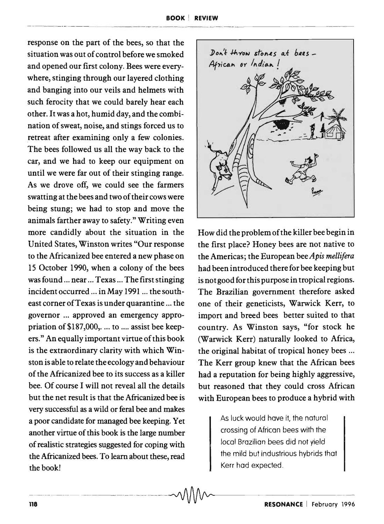response on the part of the bees, so that the situation was out of control before we smoked and opened our first colony. Bees were everywhere, stinging through our layered clothing and banging into our veils and helmets with such ferocity that we could barely hear each other. It was a hot, humid day, and the combination of sweat, noise, and stings forced us to retreat after examining only a few colonies. The bees followed us all the way back to the car, and we had to keep our equipment on until we were far out of their stinging range. As we drove off, we could see the farmers swatting at the bees and two of their cows were being stung; we had to stop and move the animals farther away to safety." Writing even more candidly about the situation in the United States, Winston writes "Our response to the Africanized bee entered a new phase on 15 October 1990, when a colony of the bees was found ... near ... Texas ... The first stinging incident occurred ... in May 1991 ... the southeast corner of Texas is under quarantine ... the governor ... approved an emergency appropriation of \$187,000, .... to .... assist bee keepers." An equally important virtue of this book is the extraordinary clarity with which Winston is able to relate the ecology and behaviour of the Africanized bee to its success as a killer bee. Of course I will not reveal all the details but the net result is that the Africanized bee is very successful as a wild or feral bee and makes a poor candidate for managed bee keeping. Yet another virtue of this book is the large number of realistic strategies suggested for coping with the Africanized bees. To learn about these, read the book!



How did the problem of the killer bee begin in the first place? Honey bees are not native to the Americas; the European bee *Apis mellifera*  had been introduced there for bee keeping but is not good for this purpose in tropical regions. The Brazilian government therefore asked one of their geneticists, Warwick Kerr, to import and breed bees better suited to that country. As Winston says, "for stock he (Warwick Kerr) naturally looked to Africa, the original habitat of tropical honey bees ... The Kerr group knew that the African bees had a reputation for being highly aggressive, but reasoned that they could cross African with European bees to produce a hybrid with

> .As luck would have it, the natural crossing of African bees with the local Brazilian bees did not yield the mild but industrious hybrids that Kerr had expected .